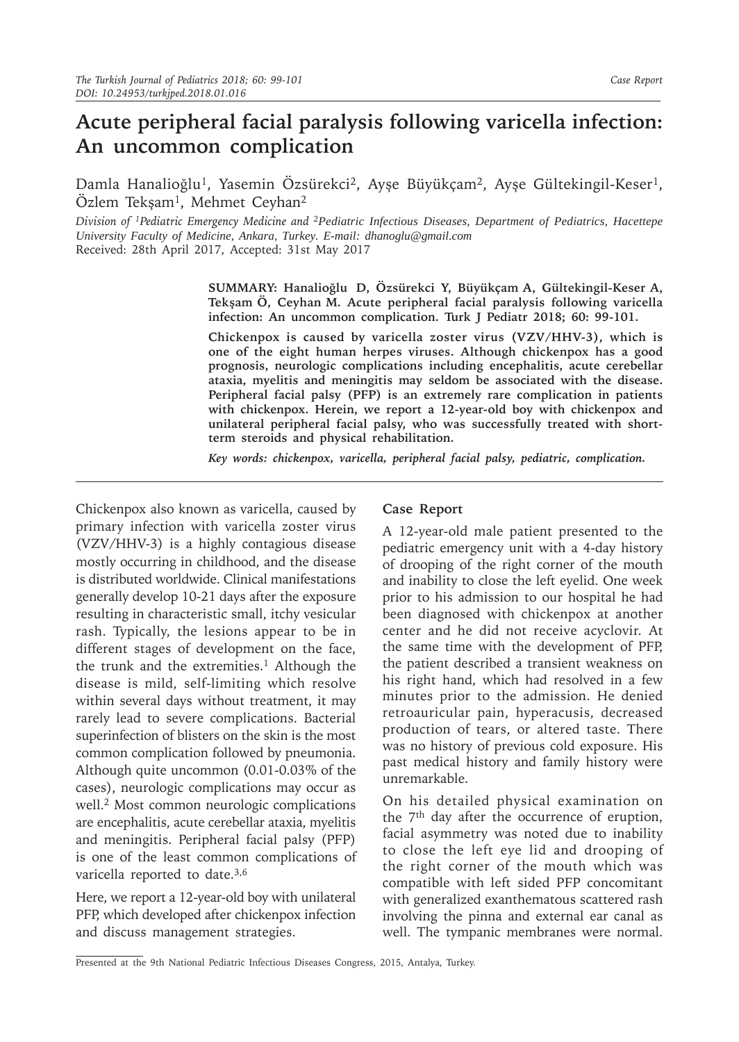# **Acute peripheral facial paralysis following varicella infection: An uncommon complication**

Damla Hanalioğlu<sup>1</sup>, Yasemin Özsürekci<sup>2</sup>, Ayşe Büyükçam<sup>2</sup>, Ayşe Gültekingil-Keser<sup>1</sup>, Özlem Tekşam<sup>1</sup>, Mehmet Ceyhan<sup>2</sup>

*Division of 1Pediatric Emergency Medicine and 2Pediatric Infectious Diseases, Department of Pediatrics, Hacettepe University Faculty of Medicine, Ankara, Turkey. E-mail: dhanoglu@gmail.com*  Received: 28th April 2017, Accepted: 31st May 2017

> **SUMMARY: Hanalioğlu D, Özsürekci Y, Büyükçam A, Gültekingil-Keser A, Tekşam Ö, Ceyhan M. Acute peripheral facial paralysis following varicella infection: An uncommon complication. Turk J Pediatr 2018; 60: 99-101.**

> **Chickenpox is caused by varicella zoster virus (VZV/HHV-3), which is one of the eight human herpes viruses. Although chickenpox has a good prognosis, neurologic complications including encephalitis, acute cerebellar ataxia, myelitis and meningitis may seldom be associated with the disease. Peripheral facial palsy (PFP) is an extremely rare complication in patients with chickenpox. Herein, we report a 12-year-old boy with chickenpox and unilateral peripheral facial palsy, who was successfully treated with shortterm steroids and physical rehabilitation.**

*Key words: chickenpox, varicella, peripheral facial palsy, pediatric, complication.*

Chickenpox also known as varicella, caused by primary infection with varicella zoster virus (VZV/HHV-3) is a highly contagious disease mostly occurring in childhood, and the disease is distributed worldwide. Clinical manifestations generally develop 10-21 days after the exposure resulting in characteristic small, itchy vesicular rash. Typically, the lesions appear to be in different stages of development on the face, the trunk and the extremities.<sup>1</sup> Although the disease is mild, self-limiting which resolve within several days without treatment, it may rarely lead to severe complications. Bacterial superinfection of blisters on the skin is the most common complication followed by pneumonia. Although quite uncommon (0.01-0.03% of the cases), neurologic complications may occur as well.<sup>2</sup> Most common neurologic complications are encephalitis, acute cerebellar ataxia, myelitis and meningitis. Peripheral facial palsy (PFP) is one of the least common complications of varicella reported to date.<sup>3,6</sup>

Here, we report a 12-year-old boy with unilateral PFP, which developed after chickenpox infection and discuss management strategies.

### **Case Report**

A 12-year-old male patient presented to the pediatric emergency unit with a 4-day history of drooping of the right corner of the mouth and inability to close the left eyelid. One week prior to his admission to our hospital he had been diagnosed with chickenpox at another center and he did not receive acyclovir. At the same time with the development of PFP, the patient described a transient weakness on his right hand, which had resolved in a few minutes prior to the admission. He denied retroauricular pain, hyperacusis, decreased production of tears, or altered taste. There was no history of previous cold exposure. His past medical history and family history were unremarkable.

On his detailed physical examination on the 7<sup>th</sup> day after the occurrence of eruption, facial asymmetry was noted due to inability to close the left eye lid and drooping of the right corner of the mouth which was compatible with left sided PFP concomitant with generalized exanthematous scattered rash involving the pinna and external ear canal as well. The tympanic membranes were normal.

Presented at the 9th National Pediatric Infectious Diseases Congress, 2015, Antalya, Turkey.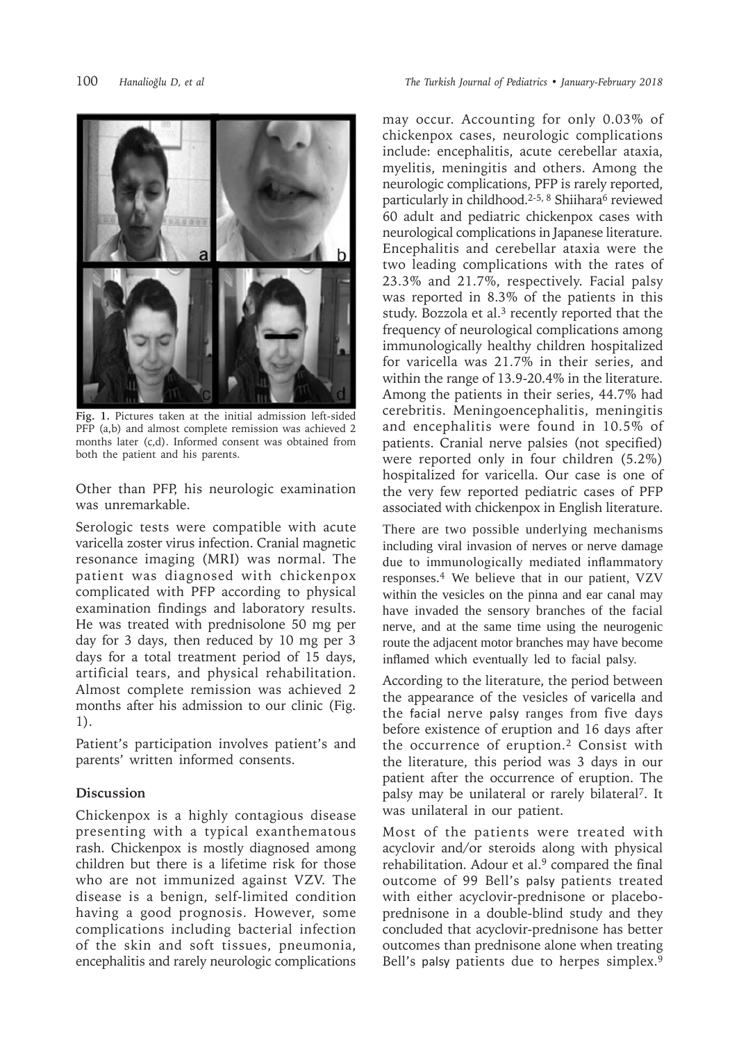

**Fig. 1.** Pictures taken at the initial admission left-sided PFP (a,b) and almost complete remission was achieved 2 months later (c,d). Informed consent was obtained from both the patient and his parents.

Other than PFP, his neurologic examination was unremarkable.

Serologic tests were compatible with acute varicella zoster virus infection. Cranial magnetic resonance imaging (MRI) was normal. The patient was diagnosed with chickenpox complicated with PFP according to physical examination findings and laboratory results. He was treated with prednisolone 50 mg per day for 3 days, then reduced by 10 mg per 3 days for a total treatment period of 15 days, artificial tears, and physical rehabilitation. Almost complete remission was achieved 2 months after his admission to our clinic (Fig. 1).

Patient's participation involves patient's and parents' written informed consents.

## **Discussion**

Chickenpox is a highly contagious disease presenting with a typical exanthematous rash. Chickenpox is mostly diagnosed among children but there is a lifetime risk for those who are not immunized against VZV. The disease is a benign, self-limited condition having a good prognosis. However, some complications including bacterial infection of the skin and soft tissues, pneumonia, encephalitis and rarely neurologic complications

may occur. Accounting for only 0.03% of chickenpox cases, neurologic complications include: encephalitis, acute cerebellar ataxia, myelitis, meningitis and others. Among the neurologic complications, PFP is rarely reported, particularly in childhood.<sup>2-5, 8</sup> Shiihara<sup>6</sup> reviewed 60 adult and pediatric chickenpox cases with neurological complications in Japanese literature. Encephalitis and cerebellar ataxia were the two leading complications with the rates of 23.3% and 21.7%, respectively. Facial palsy was reported in 8.3% of the patients in this study. Bozzola et al.<sup>3</sup> recently reported that the frequency of neurological complications among immunologically healthy children hospitalized for varicella was 21.7% in their series, and within the range of 13.9-20.4% in the literature. Among the patients in their series, 44.7% had cerebritis. Meningoencephalitis, meningitis and encephalitis were found in 10.5% of patients. Cranial nerve palsies (not specified) were reported only in four children (5.2%) hospitalized for varicella. Our case is one of the very few reported pediatric cases of PFP associated with chickenpox in English literature.

There are two possible underlying mechanisms including viral invasion of nerves or nerve damage due to immunologically mediated inflammatory responses.<sup>4</sup> We believe that in our patient, VZV within the vesicles on the pinna and ear canal may have invaded the sensory branches of the facial nerve, and at the same time using the neurogenic route the adjacent motor branches may have become inflamed which eventually led to facial palsy.

According to the literature, the period between the appearance of the vesicles of varicella and the facial nerve palsy ranges from five days before existence of eruption and 16 days after the occurrence of eruption.<sup>2</sup> Consist with the literature, this period was 3 days in our patient after the occurrence of eruption. The palsy may be unilateral or rarely bilateral7. It was unilateral in our patient.

Most of the patients were treated with acyclovir and/or steroids along with physical rehabilitation. Adour et al.<sup>9</sup> compared the final outcome of 99 Bell's palsy patients treated with either acyclovir-prednisone or placeboprednisone in a double-blind study and they concluded that acyclovir-prednisone has better outcomes than prednisone alone when treating Bell's palsy patients due to herpes simplex.<sup>9</sup>